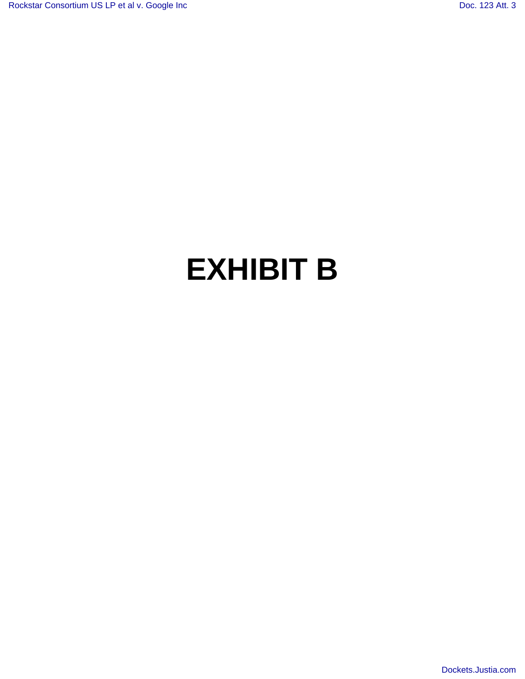## **EXHIBIT B**